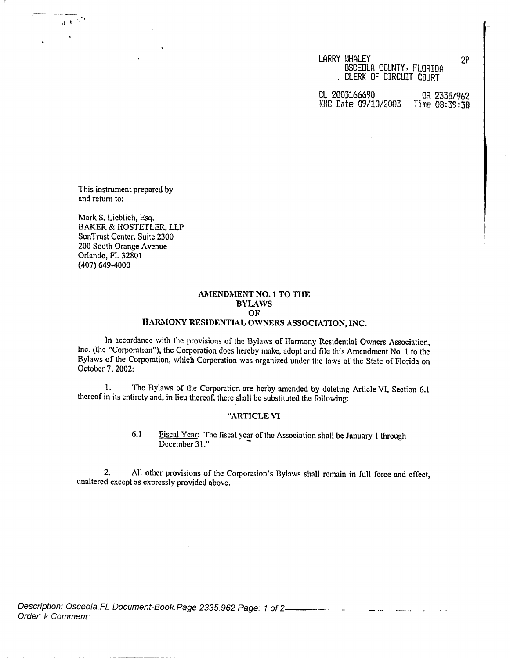LARRY WHALEY 2P OSCEOLA COUNTY, FLORIDA CLERK OF CIRCUIT COURT

CL 2003166690 OR 2335/962<br>KHC Date 09/10/2003 Time 08:39:38 KMC Date 09/10/2003

This instrument prepared by and return to:

Mark S. Lieblich, Esq. BAKER & HOSTETLER, LLP SunTrust Center, Suite 2300 200 South Orange Avenue Orlando, FL 32801 (407) 649-4000

# **AMENDMENT** NO. I TO **THE BYLAWS** HARMONY RESIDENTIAL OWNERS ASSOCIATION, INC.

In accordance with the provisions of the Bylaws of Harmony Residential Owners Association, Inc. (the "Corporation"), the Corporation does hereby make, adopt and file this Amendment No. I to the Bylaws of the Corporation, which Corporation was organized under the laws of the State of Florida on October 7, 2002:

1. The Bylaws of the Corporation are herby amended by deleting Article VI, Section 6.1 thereof in its entirety and, in lieu thereof, there shall be substituted the following:

### **"ARTICLE VI**

6.1 Fiscal Year: The fiscal year of the Association shall be January 1 through December 31."

2. All other provisions of the Corporation's Bylaws shall remain in full force and effect, unaltered except as expressly provided above.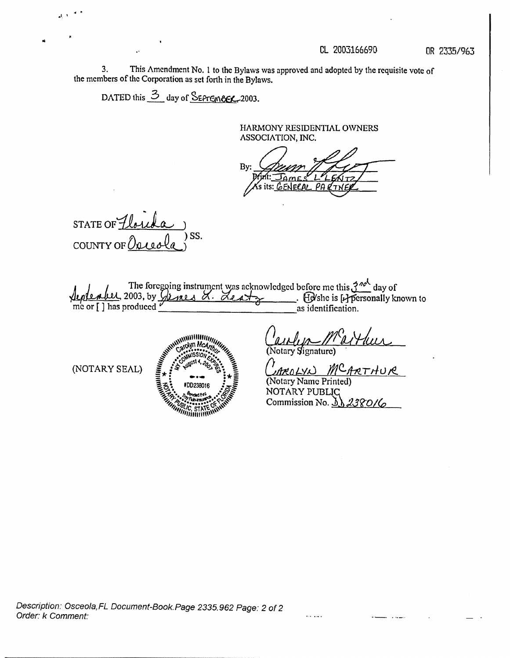OR 2335/963

3. This Amendment No. 1 to the Bylaws was approved and adopted by the requisite vote of the members of the Corporation as set forth in the Bylaws.

DATED this 3 day of SEPTEMBER-2003.

HARMONY RESIDENTIAL OWNERS ASSOCIATION, INC.

By: ØΆ

STATE OF  $\cancel{1}$ ) SS. COUNTY OF  $\overline{U}$ 

The foregoing instrument was acknowledged before me this  $3^{n\alpha k}$  day of<br>2003, by  $Q$   $\alpha k \alpha k \beta k$ . Acaly (B/she is [Apersonally known to me or [ ] has produced  $\vec{v}$ as identification.

(NOTARY SEAL)



Notary Signature

<u>MCARTHUR</u>

(Notary Name Printed) NOTARY PUBLIC Commission No. 3 2.39 D I L

alan alama

Description: Osceola, FL Document-Book. Page 2335.962 Page: 2 of 2 Order: k Comment: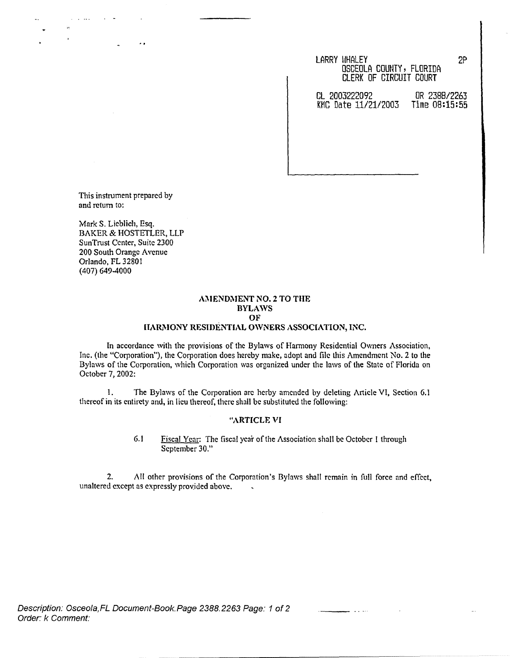### LARRY WHALEY 2P OSCEOLA COUNTY, FLORIDA CLERK OF CIRCUIT COURT

CL 2003222092 OR 2388/2263 KMC Date 11/21/2003

This instrument prepared by and return to:

Mark S. Lieblich, Esq. BAKER & HOSTETLER, LLP SunTrust Center, Suite 2300 200 South Orange Avenue Orlando, FL 32801 (407) 649-4000

# **AMENDMENT NO.2 TO THE BYLAWS OF**

# **HARMONY RESIDENTIAL OWNERS ASSOCIATION, INC.**

In accordance with the provisions of the Bylaws of Harmony Residential Owners Association, Inc. (the "Corporation"), the Corporation does hereby make, adopt and file this Amendment No. 2 to the Bylaws of the Corporation, which Corporation was organized under the laws of the State of Florida on October 7, 2002:

1. The Bylaws of the Corporation are herby amended by deleting Article VI, Section 6.1 thereof in its entirety and, in lieu thereof, there shall be substituted the following:

## **"ARTICLE VI**

6.1 Fiscal Year: The fiscal year of the Association shall be October 1 through September 30."

2. All other provisions of the Corporation's Bylaws shall remain in full force and effect, unaltered except as expressly provided above.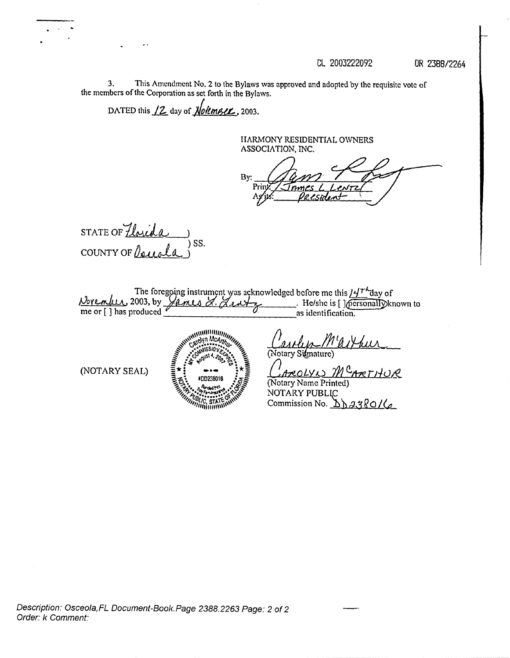CL 2003222092

OR 2388/2264

3. This Amendment No. 2 to the Bylaws was approved and adopted by the requisite vote of the members of the Corporation as set forth in the Bylaws.

DATED this  $12$  day of **Notember**, 2003.

HARMONY RESIDENTIAL OWNERS ASSOCIATION, INC.

By: Prii

STATE OF Thrida ) SS. COUNTY OF La

The foregoing instrument was acknowledged before me this  $/H^+$  day of 2003, by  $\sqrt{4\pi\omega}$   $\sim$   $\sqrt{2\omega + \frac{1}{2}}$ . He/she is [ ]  $\sqrt{2}$  ersonally known to Vorenlus, 2003, by James L. Le as identification.

(NOTARY SEAL)



*Caspany* 11

AROLYN MCARTHUR (Notary Name Printed) NOTARY PUBLIC Commission No.  $\Delta$   $\Delta$  3380/6

Description: Osceola, FL Document-Book. Page 2388.2263 Page: 2 of 2 Order: k Comment: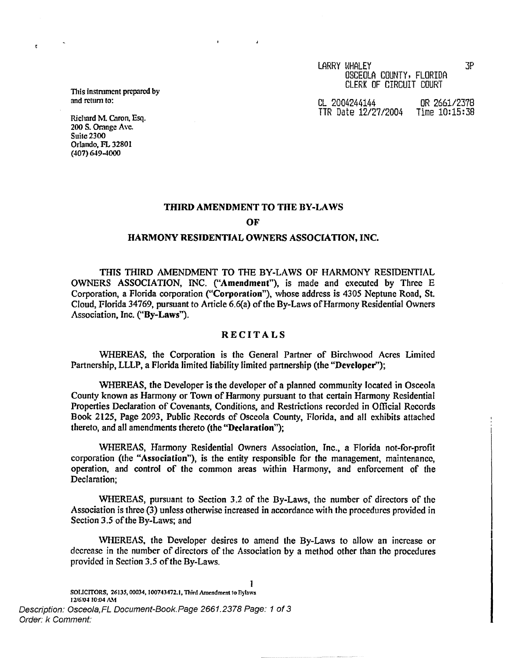CL 2004244144 OR 2661/2378 TTR Date 12/27/2004 Time 10:15:38

**This instrument prepared** by and return to:

 $\epsilon$ 

Richard M. Caron, Esq. 200 S. **Orange** Ave. Suite 2300 Orlando, FL 32801 (407) 649-4000

### **THIRD AMENDMENT TO THE BY-LAWS**

**OF**

### **HARMONY RESIDENTIAL OWNERS ASSOCIATION, INC.**

THIS THIRD AMENDMENT TO THE BY-LAWS OF HARMONY RESIDENTIAL OWNERS ASSOCIATION, INC. **("Amendment"),** is made and executed by Three E Corporation, a Florida corporation **("Corporation"),** whose address is 4305 Neptune Road, St. Cloud, Florida 34769, pursuant to Article 6.6(a) of the By-Laws of Harmony Residential Owners Association, Inc. **("By-Laws").**

# **RECITALS**

WHEREAS, the Corporation is the General Partner of Birchwood Acres Limited Partnership, LLLP, a Florida limited liability limited partnership (the **"Developer");**

WHEREAS, the Developer is the developer of a planned community located in Osceola County known as Harmony or Town of Harmony pursuant to that certain Harmony Residential Properties Declaration of Covenants, Conditions, and Restrictions recorded in Official Records Book 2125, Page 2093, Public Records of Osceola County, Florida, and all exhibits attached thereto, and all amendments thereto (the **"Declaration");**

WHEREAS, Harmony Residential Owners Association, Inc., a Florida not-for-profit corporation (the **"Association"),** is the entity responsible for the management, maintenance, operation, and control of the common areas within Harmony, and enforcement of the Declaration;

WHEREAS, pursuant to Section 3.2 of the By-Laws, the number of directors of the Association is three (3) unless otherwise increased in accordance with the procedures provided in Section 3.5 of the By-Laws; and

WHEREAS, the Developer desires to amend the By-Laws to allow an increase or decrease in the number of directors of the Association by a method other than the procedures provided in Section 3.5 of the By-Laws.

Description: Osceola, FL Document-Book. Page 2661.2378 Page: 1 of 3 Order: k Comment: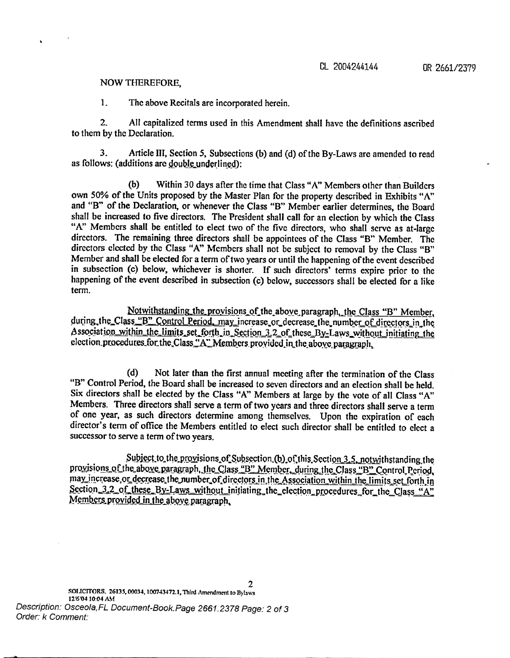## NOW THEREFORE,

1. The above Recitals are incorporated herein.

2. All capitalized terms used in this Amendment shall have the definitions ascribed to them by the Declaration.

3. Article III, Section 5, Subsections (b) and (d) of the By-Laws arc amended to read as follows: (additions are double underlined):

(b) Within 30 days after the time that Class "A" Members other than Builders own 50% of the Units proposed by the Master Plan for the property described in Exhibits "A" and "B" of the Declaration, or whenever the Class "B" Member earlier determines, the Board shall be increased to five directors. The President shall call for an election by which the Class "A" Members shall be entitled to elect two of the five directors, who shall serve as at-large directors. The remaining three directors shall be appointees of the Class "B" Member. The directors elected by the Class "A" Members shall not be subject to removal by the Class "B" Member and shall be elected for a term of two years or until the happening of the event described in subsection (c) below, whichever is shorter. If such directors' terms expire prior to the happening of the event described in subsection (c) below, successors shall be elected for a like term.

Notwithstanding the provisions of the above paragraph, the Class "B" Member, during.the Class "B" Control Period. may increase or decrease the number of directors in the Association within the limits set forth in Section 3.2 of these By-Laws without initiating the election\_procedures\_for\_the\_Class.  $A$ <sup> $\cdot$ </sup> Members\_provided\_in\_the above\_paragraph,

(d) Not later than the first annual meeting after the termination of the Class "B" Control Period, the Board shall be increased to seven directors and an election shall be held. Six directors shall be elected by the Class "A" Members at large by the vote of all Class "A" Members. Three directors shall serve a term of two years and three directors shall serve a term of one year, as such directors determine among themselves. Upon the expiration of each director's term of office the Members entitled to elect such director shall be entitled to elect a successor to serve a term of two years.

Subject to the provisions of Subsection (b) of this Section 3.5, not withstanding the provisions of the above paragraph, the Class "B" Member, during the Class "B" Control Period, may increase or decrease the number of directors in the Association within the limits set forth in Section 3.2\_of these\_By-Laws\_without\_initiating\_the\_election\_procedures\_for\_the\_Class "A" Members provided in the aboye\_paragraph,